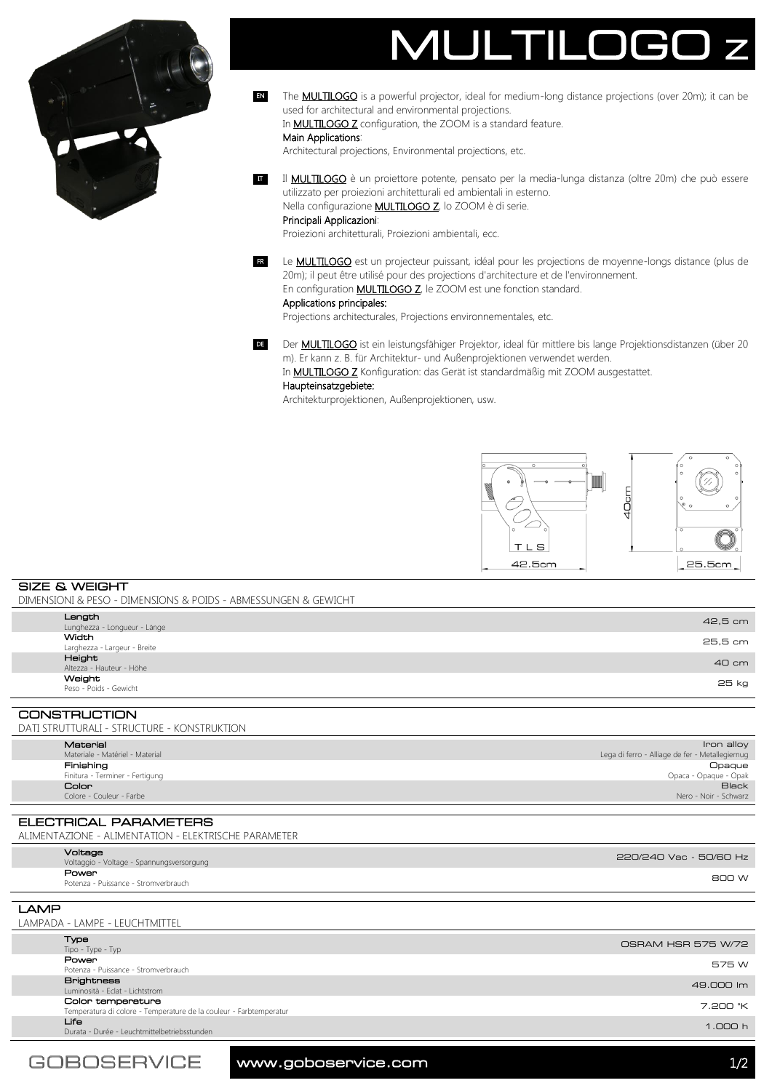



The **MULTILOGO** is a powerful projector, ideal for medium-long distance projections (over 20m); it can be used for architectural and environmental projections. EN

In **MULTILOGO Z** configuration, the ZOOM is a standard feature.

### Main Applications:

Architectural projections, Environmental projections, etc.

II **MULTILOGO** è un proiettore potente, pensato per la media-lunga distanza (oltre 20m) che può essere utilizzato per proiezioni architetturali ed ambientali in esterno. Nella configurazione **MULTILOGO Z**, lo ZOOM è di serie.

Principali Applicazioni:

Proiezioni architetturali, Proiezioni ambientali, ecc.

ER Le **MULTILOGO** est un projecteur puissant, idéal pour les projections de moyenne-longs distance (plus de 20m); il peut être utilisé pour des projections d'architecture et de l'environnement. En configuration **MULTILOGO Z**, le ZOOM est une fonction standard.

### Applications principales:

Projections architecturales, Projections environnementales, etc.

DE Der **MULTILOGO** ist ein leistungsfähiger Projektor, ideal für mittlere bis lange Projektionsdistanzen (über 20 m). Er kann z. B. für Architektur- und Außenprojektionen verwendet werden.

In **MULTILOGO Z** Konfiguration: das Gerät ist standardmäßig mit ZOOM ausgestattet.

## Haupteinsatzgebiete:

Architekturprojektionen, Außenprojektionen, usw.



SIZE & WEIGHT DIMENSIONI & PESO - DIMENSIONS & POIDS - ABMESSUNGEN & GEWICHT

| Length<br>Lunghezza - Longueur - Länge       | 42,5 cm |  |
|----------------------------------------------|---------|--|
| <b>Width</b><br>Larghezza - Largeur - Breite | 25,5 cm |  |
| Height<br>Altezza - Hauteur - Höhe           | 40 cm   |  |
| Weight<br>Peso - Poids - Gewicht             | 25 kg   |  |
| <b>CONSTRUCTION</b>                          |         |  |

| DATI STRUTTURALI - STRUCTURE - KONSTRUKTION |                                 |                                                 |
|---------------------------------------------|---------------------------------|-------------------------------------------------|
|                                             | Material                        | Iron alloy                                      |
|                                             | Materiale - Matériel - Material | Lega di ferro - Alliage de fer - Metallegiernug |
|                                             | Finishing                       | <b>Opaque</b>                                   |
|                                             | Finitura - Terminer - Fertigung | Opaca - Opaque - Opak                           |
|                                             | Color                           | <b>Black</b>                                    |
|                                             | Colore - Couleur - Farbe        | Nero - Noir - Schwarz                           |

ELECTRICAL PARAMETERS ALIMENTAZIONE - ALIMENTATION - ELEKTRISCHE PARAMETER

|      | Voltage<br>Voltaggio - Voltage - Spannungsversorgung | 220/240 Vac - 50/60 Hz |
|------|------------------------------------------------------|------------------------|
|      | Power<br>Potenza - Puissance - Stromverbrauch        | 800 W                  |
|      |                                                      |                        |
| ____ |                                                      |                        |

# LAMP LAMPADA - LAMPE - LEUCHTMITTEL

| Type                                                               | OSRAM HSR 575 W/72 |
|--------------------------------------------------------------------|--------------------|
| Tipo - Type - Typ                                                  |                    |
| Power                                                              | 575 W              |
| Potenza - Puissance - Stromverbrauch                               |                    |
| <b>Brightness</b>                                                  |                    |
| Luminosità - Eclat - Lichtstrom                                    | 49.000 lm          |
| Color temperature                                                  | 7.200 °K           |
| Temperatura di colore - Temperature de la couleur - Farbtemperatur |                    |
| Life                                                               | 1.000h             |
| Durata - Durée - Leuchtmittelbetriebsstunden                       |                    |